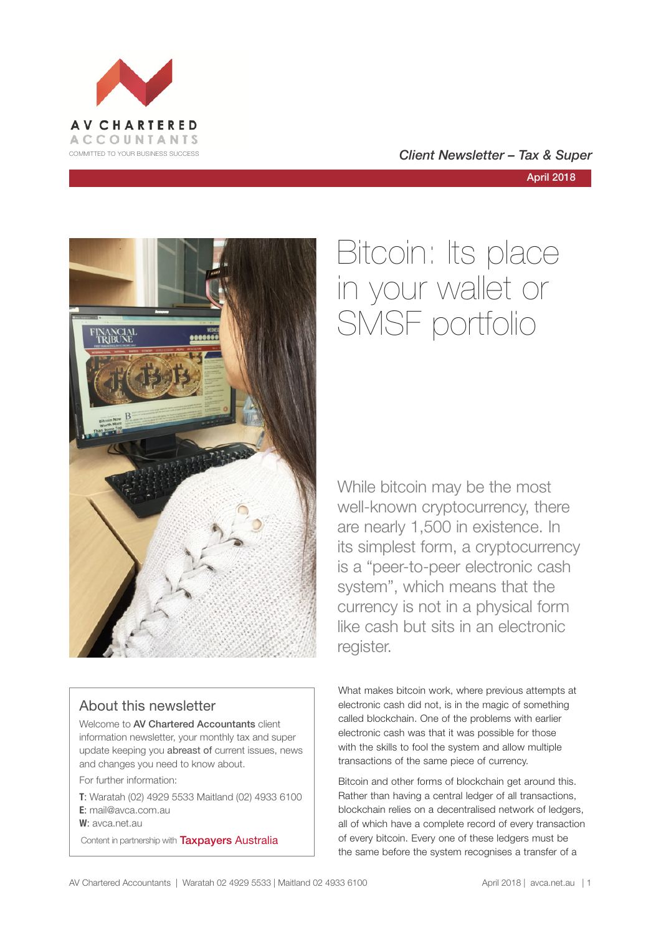

April 2018



# About this newsletter

Welcome to AV Chartered Accountants client information newsletter, your monthly tax and super update keeping you abreast of current issues, news and changes you need to know about.

For further information:

**T**: Waratah (02) 4929 5533 Maitland (02) 4933 6100 **E**: mail@avca.com.au

**W**: avca.net.au

Content in partnership with **Taxpayers Australia** 

# Bitcoin: Its place in your wallet or SMSF portfolio

While bitcoin may be the most well-known cryptocurrency, there are nearly 1,500 in existence. In its simplest form, a cryptocurrency is a "peer-to-peer electronic cash system", which means that the currency is not in a physical form like cash but sits in an electronic register.

What makes bitcoin work, where previous attempts at electronic cash did not, is in the magic of something called blockchain. One of the problems with earlier electronic cash was that it was possible for those with the skills to fool the system and allow multiple transactions of the same piece of currency.

Bitcoin and other forms of blockchain get around this. Rather than having a central ledger of all transactions, blockchain relies on a decentralised network of ledgers, all of which have a complete record of every transaction of every bitcoin. Every one of these ledgers must be the same before the system recognises a transfer of a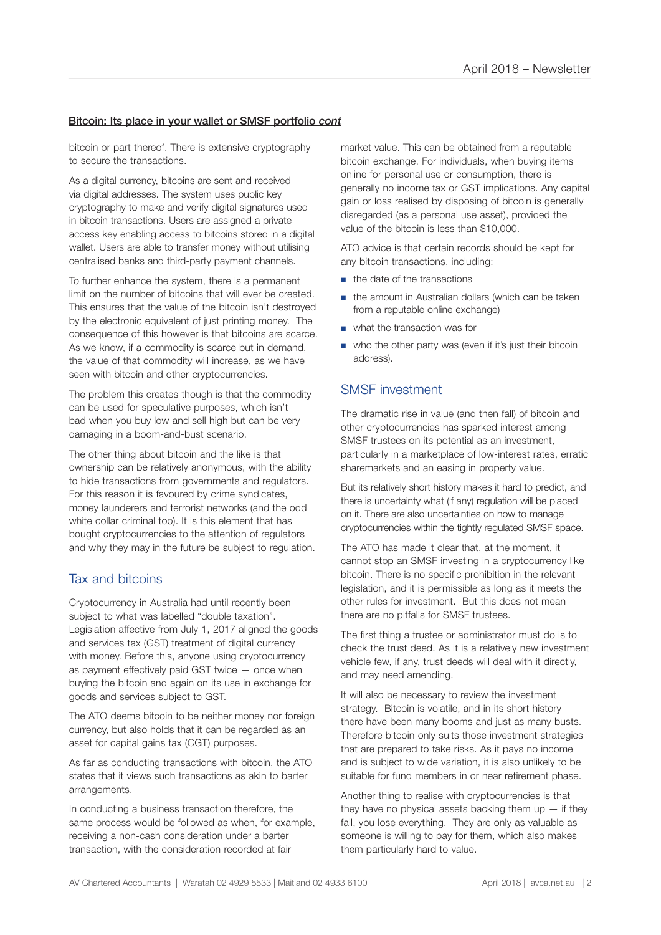#### Bitcoin: Its place in your wallet or SMSF portfolio *cont*

bitcoin or part thereof. There is extensive cryptography to secure the transactions.

As a digital currency, bitcoins are sent and received via digital addresses. The system uses public key cryptography to make and verify digital signatures used in bitcoin transactions. Users are assigned a private access key enabling access to bitcoins stored in a digital wallet. Users are able to transfer money without utilising centralised banks and third-party payment channels.

To further enhance the system, there is a permanent limit on the number of bitcoins that will ever be created. This ensures that the value of the bitcoin isn't destroyed by the electronic equivalent of just printing money. The consequence of this however is that bitcoins are scarce. As we know, if a commodity is scarce but in demand, the value of that commodity will increase, as we have seen with bitcoin and other cryptocurrencies.

The problem this creates though is that the commodity can be used for speculative purposes, which isn't bad when you buy low and sell high but can be very damaging in a boom-and-bust scenario.

The other thing about bitcoin and the like is that ownership can be relatively anonymous, with the ability to hide transactions from governments and regulators. For this reason it is favoured by crime syndicates, money launderers and terrorist networks (and the odd white collar criminal too). It is this element that has bought cryptocurrencies to the attention of regulators and why they may in the future be subject to regulation.

## Tax and bitcoins

Cryptocurrency in Australia had until recently been subject to what was labelled "double taxation". Legislation affective from July 1, 2017 aligned the goods and services tax (GST) treatment of digital currency with money. Before this, anyone using cryptocurrency as payment effectively paid GST twice — once when buying the bitcoin and again on its use in exchange for goods and services subject to GST.

The ATO deems bitcoin to be neither money nor foreign currency, but also holds that it can be regarded as an asset for capital gains tax (CGT) purposes.

As far as conducting transactions with bitcoin, the ATO states that it views such transactions as akin to barter arrangements.

In conducting a business transaction therefore, the same process would be followed as when, for example, receiving a non-cash consideration under a barter transaction, with the consideration recorded at fair

market value. This can be obtained from a reputable bitcoin exchange. For individuals, when buying items online for personal use or consumption, there is generally no income tax or GST implications. Any capital gain or loss realised by disposing of bitcoin is generally disregarded (as a personal use asset), provided the value of the bitcoin is less than \$10,000.

ATO advice is that certain records should be kept for any bitcoin transactions, including:

- the date of the transactions
- the amount in Australian dollars (which can be taken from a reputable online exchange)
- what the transaction was for
- who the other party was (even if it's just their bitcoin address).

### SMSF investment

The dramatic rise in value (and then fall) of bitcoin and other cryptocurrencies has sparked interest among SMSF trustees on its potential as an investment, particularly in a marketplace of low-interest rates, erratic sharemarkets and an easing in property value.

But its relatively short history makes it hard to predict, and there is uncertainty what (if any) regulation will be placed on it. There are also uncertainties on how to manage cryptocurrencies within the tightly regulated SMSF space.

The ATO has made it clear that, at the moment, it cannot stop an SMSF investing in a cryptocurrency like bitcoin. There is no specific prohibition in the relevant legislation, and it is permissible as long as it meets the other rules for investment. But this does not mean there are no pitfalls for SMSF trustees.

The first thing a trustee or administrator must do is to check the trust deed. As it is a relatively new investment vehicle few, if any, trust deeds will deal with it directly, and may need amending.

It will also be necessary to review the investment strategy. Bitcoin is volatile, and in its short history there have been many booms and just as many busts. Therefore bitcoin only suits those investment strategies that are prepared to take risks. As it pays no income and is subject to wide variation, it is also unlikely to be suitable for fund members in or near retirement phase.

Another thing to realise with cryptocurrencies is that they have no physical assets backing them  $up$  - if they fail, you lose everything. They are only as valuable as someone is willing to pay for them, which also makes them particularly hard to value.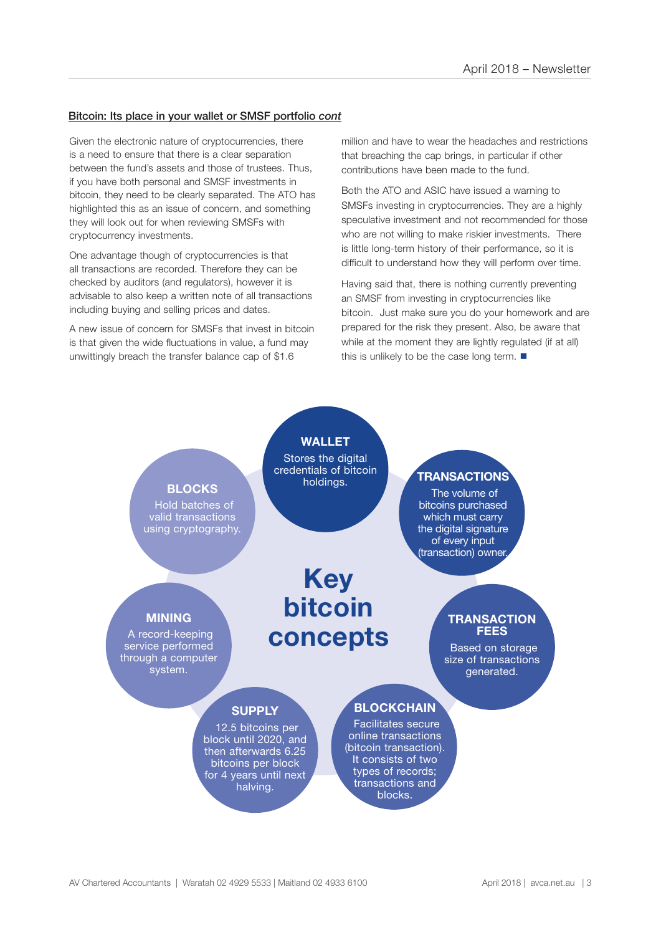#### Bitcoin: Its place in your wallet or SMSF portfolio *cont*

Given the electronic nature of cryptocurrencies, there is a need to ensure that there is a clear separation between the fund's assets and those of trustees. Thus, if you have both personal and SMSF investments in bitcoin, they need to be clearly separated. The ATO has highlighted this as an issue of concern, and something they will look out for when reviewing SMSFs with cryptocurrency investments.

One advantage though of cryptocurrencies is that all transactions are recorded. Therefore they can be checked by auditors (and regulators), however it is advisable to also keep a written note of all transactions including buying and selling prices and dates.

A new issue of concern for SMSFs that invest in bitcoin is that given the wide fluctuations in value, a fund may unwittingly breach the transfer balance cap of \$1.6

million and have to wear the headaches and restrictions that breaching the cap brings, in particular if other contributions have been made to the fund.

Both the ATO and ASIC have issued a warning to SMSFs investing in cryptocurrencies. They are a highly speculative investment and not recommended for those who are not willing to make riskier investments. There is little long-term history of their performance, so it is difficult to understand how they will perform over time.

Having said that, there is nothing currently preventing an SMSF from investing in cryptocurrencies like bitcoin. Just make sure you do your homework and are prepared for the risk they present. Also, be aware that while at the moment they are lightly regulated (if at all) this is unlikely to be the case long term.  $\blacksquare$ 

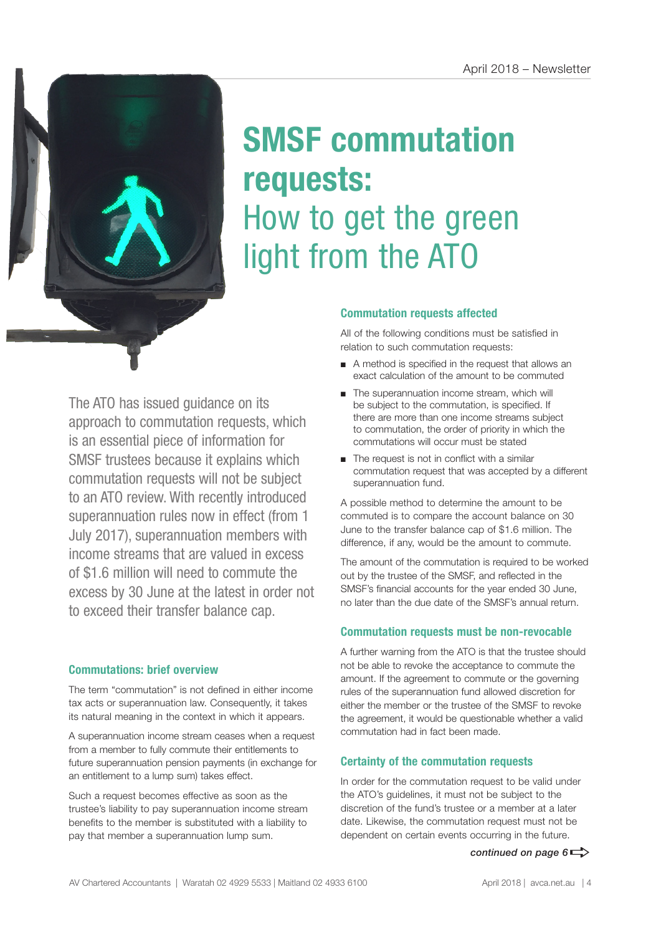

# **SMSF commutation requests:**  How to get the green light from the ATO

The ATO has issued guidance on its approach to commutation requests, which is an essential piece of information for SMSF trustees because it explains which commutation requests will not be subject to an ATO review. With recently introduced superannuation rules now in effect (from 1 July 2017), superannuation members with income streams that are valued in excess of \$1.6 million will need to commute the excess by 30 June at the latest in order not to exceed their transfer balance cap.

# **Commutations: brief overview**

The term "commutation" is not defined in either income tax acts or superannuation law. Consequently, it takes its natural meaning in the context in which it appears.

A superannuation income stream ceases when a request from a member to fully commute their entitlements to future superannuation pension payments (in exchange for an entitlement to a lump sum) takes effect.

Such a request becomes effective as soon as the trustee's liability to pay superannuation income stream benefits to the member is substituted with a liability to pay that member a superannuation lump sum.

## **Commutation requests affected**

All of the following conditions must be satisfied in relation to such commutation requests:

- A method is specified in the request that allows an exact calculation of the amount to be commuted
- The superannuation income stream, which will be subject to the commutation, is specified. If there are more than one income streams subject to commutation, the order of priority in which the commutations will occur must be stated
- The request is not in conflict with a similar commutation request that was accepted by a different superannuation fund.

A possible method to determine the amount to be commuted is to compare the account balance on 30 June to the transfer balance cap of \$1.6 million. The difference, if any, would be the amount to commute.

The amount of the commutation is required to be worked out by the trustee of the SMSF, and reflected in the SMSF's financial accounts for the year ended 30 June, no later than the due date of the SMSF's annual return.

# **Commutation requests must be non-revocable**

A further warning from the ATO is that the trustee should not be able to revoke the acceptance to commute the amount. If the agreement to commute or the governing rules of the superannuation fund allowed discretion for either the member or the trustee of the SMSF to revoke the agreement, it would be questionable whether a valid commutation had in fact been made.

## **Certainty of the commutation requests**

In order for the commutation request to be valid under the ATO's guidelines, it must not be subject to the discretion of the fund's trustee or a member at a later date. Likewise, the commutation request must not be dependent on certain events occurring in the future.

*continued on page*  $6 \Rightarrow$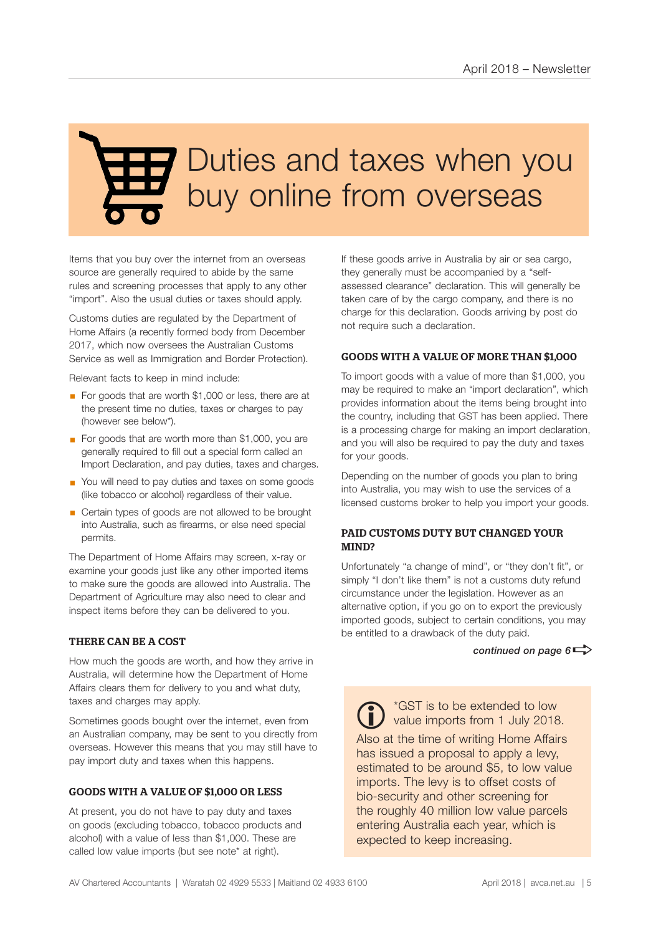# **7** Duties and taxes when you buy online from overseas

Items that you buy over the internet from an overseas source are generally required to abide by the same rules and screening processes that apply to any other "import". Also the usual duties or taxes should apply.

Customs duties are regulated by the Department of Home Affairs (a recently formed body from December 2017, which now oversees the Australian Customs Service as well as Immigration and Border Protection).

Relevant facts to keep in mind include:

- For goods that are worth \$1,000 or less, there are at the present time no duties, taxes or charges to pay (however see below\*).
- For goods that are worth more than \$1,000, you are generally required to fill out a special form called an Import Declaration, and pay duties, taxes and charges.
- You will need to pay duties and taxes on some goods (like tobacco or alcohol) regardless of their value.
- Certain types of goods are not allowed to be brought into Australia, such as firearms, or else need special permits.

The Department of Home Affairs may screen, x-ray or examine your goods just like any other imported items to make sure the goods are allowed into Australia. The Department of Agriculture may also need to clear and inspect items before they can be delivered to you.

#### THERE CAN BE A COST

How much the goods are worth, and how they arrive in Australia, will determine how the Department of Home Affairs clears them for delivery to you and what duty, taxes and charges may apply.

Sometimes goods bought over the internet, even from an Australian company, may be sent to you directly from overseas. However this means that you may still have to pay import duty and taxes when this happens.

## GOODS WITH A VALUE OF \$1,000 OR LESS

At present, you do not have to pay duty and taxes on goods (excluding tobacco, tobacco products and alcohol) with a value of less than \$1,000. These are called low value imports (but see note\* at right).

If these goods arrive in Australia by air or sea cargo, they generally must be accompanied by a "selfassessed clearance" declaration. This will generally be taken care of by the cargo company, and there is no charge for this declaration. Goods arriving by post do not require such a declaration.

#### GOODS WITH A VALUE OF MORE THAN \$1,000

To import goods with a value of more than \$1,000, you may be required to make an "import declaration", which provides information about the items being brought into the country, including that GST has been applied. There is a processing charge for making an import declaration, and you will also be required to pay the duty and taxes for your goods.

Depending on the number of goods you plan to bring into Australia, you may wish to use the services of a licensed customs broker to help you import your goods.

#### PAID CUSTOMS DUTY BUT CHANGED YOUR MIND?

Unfortunately "a change of mind", or "they don't fit", or simply "I don't like them" is not a customs duty refund circumstance under the legislation. However as an alternative option, if you go on to export the previously imported goods, subject to certain conditions, you may be entitled to a drawback of the duty paid.

*continued on page*  $6 \Rightarrow$ 

\*GST is to be extended to low ivalue imports from 1 July 2018. Also at the time of writing Home Affairs has issued a proposal to apply a levy, estimated to be around \$5, to low value imports. The levy is to offset costs of bio-security and other screening for the roughly 40 million low value parcels entering Australia each year, which is expected to keep increasing.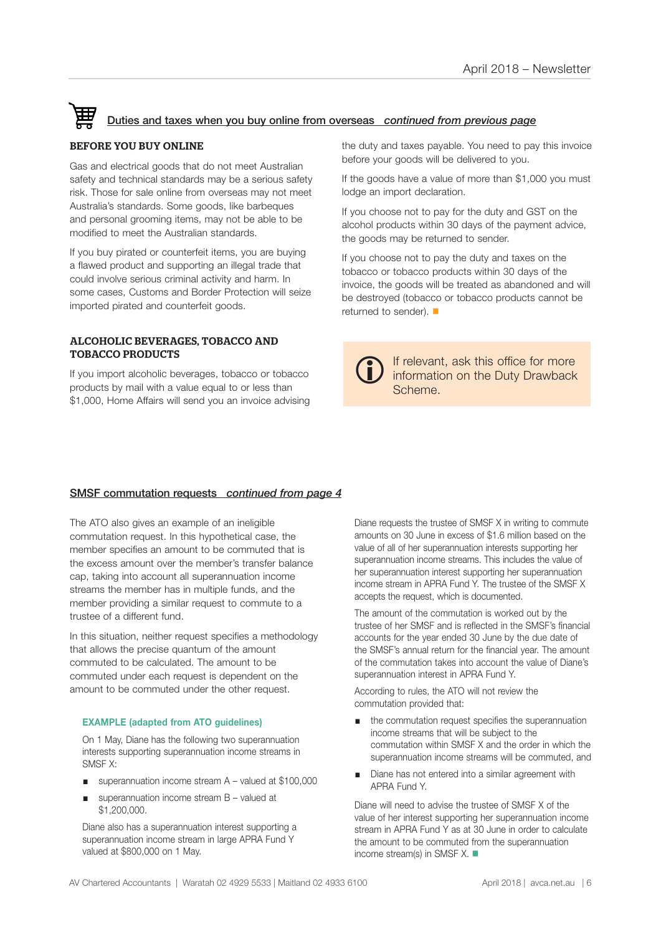# Duties and taxes when you buy online from overseas *continued from previous page*

#### BEFORE YOU BUY ONLINE

Gas and electrical goods that do not meet Australian safety and technical standards may be a serious safety risk. Those for sale online from overseas may not meet Australia's standards. Some goods, like barbeques and personal grooming items, may not be able to be modified to meet the Australian standards.

If you buy pirated or counterfeit items, you are buying a flawed product and supporting an illegal trade that could involve serious criminal activity and harm. In some cases, Customs and Border Protection will seize imported pirated and counterfeit goods.

#### ALCOHOLIC BEVERAGES, TOBACCO AND TOBACCO PRODUCTS

If you import alcoholic beverages, tobacco or tobacco products by mail with a value equal to or less than \$1,000, Home Affairs will send you an invoice advising the duty and taxes payable. You need to pay this invoice before your goods will be delivered to you.

If the goods have a value of more than \$1,000 you must lodge an import declaration.

If you choose not to pay for the duty and GST on the alcohol products within 30 days of the payment advice, the goods may be returned to sender.

If you choose not to pay the duty and taxes on the tobacco or tobacco products within 30 days of the invoice, the goods will be treated as abandoned and will be destroyed (tobacco or tobacco products cannot be returned to sender).  $\blacksquare$ 



If relevant, ask this office for more information on the Duty Drawback i Scheme.

#### SMSF commutation requests *continued from page 4*

The ATO also gives an example of an ineligible commutation request. In this hypothetical case, the member specifies an amount to be commuted that is the excess amount over the member's transfer balance cap, taking into account all superannuation income streams the member has in multiple funds, and the member providing a similar request to commute to a trustee of a different fund.

In this situation, neither request specifies a methodology that allows the precise quantum of the amount commuted to be calculated. The amount to be commuted under each request is dependent on the amount to be commuted under the other request.

#### **EXAMPLE (adapted from ATO guidelines)**

On 1 May, Diane has the following two superannuation interests supporting superannuation income streams in SMSF X:

- superannuation income stream A valued at \$100,000
- superannuation income stream B valued at \$1,200,000.

Diane also has a superannuation interest supporting a superannuation income stream in large APRA Fund Y valued at \$800,000 on 1 May.

Diane requests the trustee of SMSF X in writing to commute amounts on 30 June in excess of \$1.6 million based on the value of all of her superannuation interests supporting her superannuation income streams. This includes the value of her superannuation interest supporting her superannuation income stream in APRA Fund Y. The trustee of the SMSF X accepts the request, which is documented.

The amount of the commutation is worked out by the trustee of her SMSF and is reflected in the SMSF's financial accounts for the year ended 30 June by the due date of the SMSF's annual return for the financial year. The amount of the commutation takes into account the value of Diane's superannuation interest in APRA Fund Y.

According to rules, the ATO will not review the commutation provided that:

- the commutation request specifies the superannuation income streams that will be subject to the commutation within SMSF X and the order in which the superannuation income streams will be commuted, and
- Diane has not entered into a similar agreement with APRA Fund Y.

Diane will need to advise the trustee of SMSF X of the value of her interest supporting her superannuation income stream in APRA Fund Y as at 30 June in order to calculate the amount to be commuted from the superannuation income stream(s) in SMSF X.  $\blacksquare$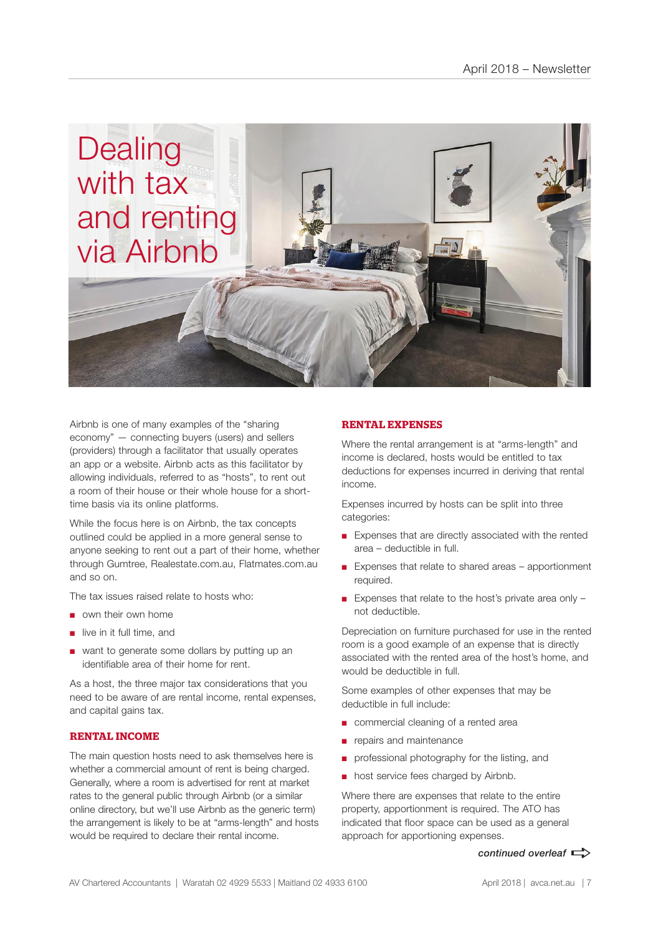

Airbnb is one of many examples of the "sharing economy" — connecting buyers (users) and sellers (providers) through a facilitator that usually operates an app or a website. Airbnb acts as this facilitator by allowing individuals, referred to as "hosts", to rent out a room of their house or their whole house for a shorttime basis via its online platforms.

While the focus here is on Airbnb, the tax concepts outlined could be applied in a more general sense to anyone seeking to rent out a part of their home, whether through Gumtree, Realestate.com.au, Flatmates.com.au and so on.

The tax issues raised relate to hosts who:

- own their own home
- live in it full time, and
- want to generate some dollars by putting up an identifiable area of their home for rent.

As a host, the three major tax considerations that you need to be aware of are rental income, rental expenses, and capital gains tax.

### **RENTAL INCOME**

The main question hosts need to ask themselves here is whether a commercial amount of rent is being charged. Generally, where a room is advertised for rent at market rates to the general public through Airbnb (or a similar online directory, but we'll use Airbnb as the generic term) the arrangement is likely to be at "arms-length" and hosts would be required to declare their rental income.

#### **RENTAL EXPENSES**

Where the rental arrangement is at "arms-length" and income is declared, hosts would be entitled to tax deductions for expenses incurred in deriving that rental income.

Expenses incurred by hosts can be split into three categories:

- Expenses that are directly associated with the rented area – deductible in full.
- Expenses that relate to shared areas apportionment required.
- Expenses that relate to the host's private area only  $$ not deductible.

Depreciation on furniture purchased for use in the rented room is a good example of an expense that is directly associated with the rented area of the host's home, and would be deductible in full.

Some examples of other expenses that may be deductible in full include:

- commercial cleaning of a rented area
- repairs and maintenance
- professional photography for the listing, and
- host service fees charged by Airbnb.

Where there are expenses that relate to the entire property, apportionment is required. The ATO has indicated that floor space can be used as a general approach for apportioning expenses.

#### *continued overleaf*  $\Rightarrow$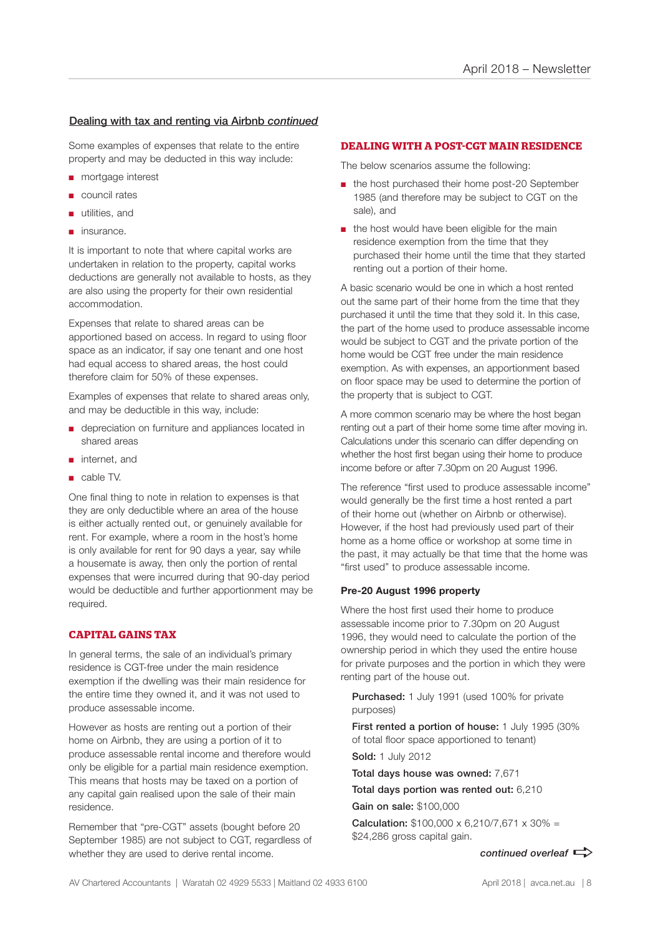### Dealing with tax and renting via Airbnb *continued*

Some examples of expenses that relate to the entire property and may be deducted in this way include:

- mortgage interest
- council rates
- utilities, and
- insurance.

It is important to note that where capital works are undertaken in relation to the property, capital works deductions are generally not available to hosts, as they are also using the property for their own residential accommodation.

Expenses that relate to shared areas can be apportioned based on access. In regard to using floor space as an indicator, if say one tenant and one host had equal access to shared areas, the host could therefore claim for 50% of these expenses.

Examples of expenses that relate to shared areas only, and may be deductible in this way, include:

- depreciation on furniture and appliances located in shared areas
- internet, and
- cable TV.

One final thing to note in relation to expenses is that they are only deductible where an area of the house is either actually rented out, or genuinely available for rent. For example, where a room in the host's home is only available for rent for 90 days a year, say while a housemate is away, then only the portion of rental expenses that were incurred during that 90-day period would be deductible and further apportionment may be required.

## **CAPITAL GAINS TAX**

In general terms, the sale of an individual's primary residence is CGT-free under the main residence exemption if the dwelling was their main residence for the entire time they owned it, and it was not used to produce assessable income.

However as hosts are renting out a portion of their home on Airbnb, they are using a portion of it to produce assessable rental income and therefore would only be eligible for a partial main residence exemption. This means that hosts may be taxed on a portion of any capital gain realised upon the sale of their main residence.

Remember that "pre-CGT" assets (bought before 20 September 1985) are not subject to CGT, regardless of whether they are used to derive rental income.

#### **DEALING WITH A POST-CGT MAIN RESIDENCE**

The below scenarios assume the following:

- the host purchased their home post-20 September 1985 (and therefore may be subject to CGT on the sale), and
- the host would have been eligible for the main residence exemption from the time that they purchased their home until the time that they started renting out a portion of their home.

A basic scenario would be one in which a host rented out the same part of their home from the time that they purchased it until the time that they sold it. In this case, the part of the home used to produce assessable income would be subject to CGT and the private portion of the home would be CGT free under the main residence exemption. As with expenses, an apportionment based on floor space may be used to determine the portion of the property that is subject to CGT.

A more common scenario may be where the host began renting out a part of their home some time after moving in. Calculations under this scenario can differ depending on whether the host first began using their home to produce income before or after 7.30pm on 20 August 1996.

The reference "first used to produce assessable income" would generally be the first time a host rented a part of their home out (whether on Airbnb or otherwise). However, if the host had previously used part of their home as a home office or workshop at some time in the past, it may actually be that time that the home was "first used" to produce assessable income.

#### **Pre-20 August 1996 property**

Where the host first used their home to produce assessable income prior to 7.30pm on 20 August 1996, they would need to calculate the portion of the ownership period in which they used the entire house for private purposes and the portion in which they were renting part of the house out.

Purchased: 1 July 1991 (used 100% for private purposes)

First rented a portion of house: 1 July 1995 (30%) of total floor space apportioned to tenant) Sold: 1 July 2012

Total days house was owned: 7,671

Total days portion was rented out: 6,210 Gain on sale: \$100,000

**Calculation:**  $$100,000 \times 6,210/7,671 \times 30\% =$ \$24,286 gross capital gain.

AV Chartered Accountants | Waratah 02 4929 5533 | Maitland 02 4933 6100 April 2018 | avca.net.au | 8